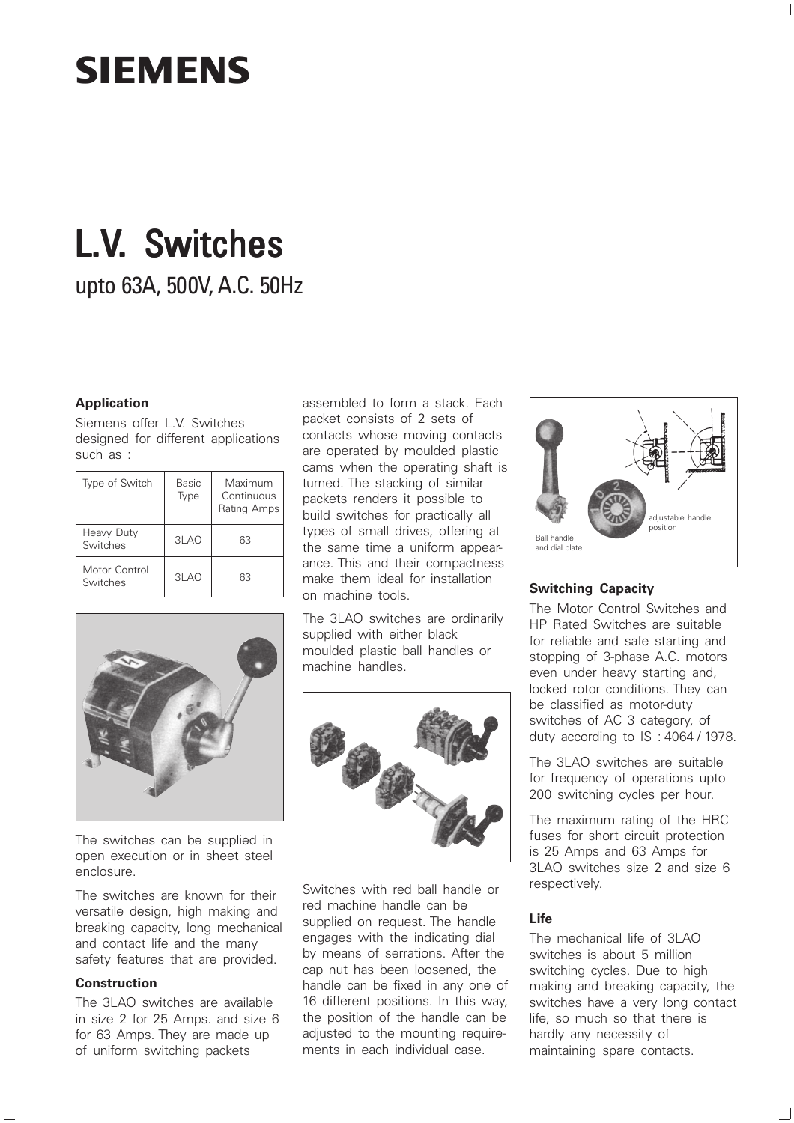## **SIEMENS**

 $\overline{\Gamma}$ 

# **L.V.** Switches

upto 63A, 500V, A.C. 50Hz

### **Application**

Siemens offer L.V. Switches designed for different applications such as :

| Type of Switch            | Basic<br>Type | Maximum<br>Continuous<br>Rating Amps |
|---------------------------|---------------|--------------------------------------|
| Heavy Duty<br>Switches    | 3LAO          | 63                                   |
| Motor Control<br>Switches | 3LAO          | 63                                   |



The switches can be supplied in open execution or in sheet steel enclosure.

The switches are known for their versatile design, high making and breaking capacity, long mechanical and contact life and the many safety features that are provided.

### **Construction**

The 3LAO switches are available in size 2 for 25 Amps. and size 6 for 63 Amps. They are made up of uniform switching packets

assembled to form a stack. Each packet consists of 2 sets of contacts whose moving contacts are operated by moulded plastic cams when the operating shaft is turned. The stacking of similar packets renders it possible to build switches for practically all types of small drives, offering at the same time a uniform appearance. This and their compactness make them ideal for installation on machine tools.

The 3LAO switches are ordinarily supplied with either black moulded plastic ball handles or machine handles.



Switches with red ball handle or red machine handle can be supplied on request. The handle engages with the indicating dial by means of serrations. After the cap nut has been loosened, the handle can be fixed in any one of 16 different positions. In this way, the position of the handle can be adjusted to the mounting requirements in each individual case.



### **Switching Capacity**

The Motor Control Switches and HP Rated Switches are suitable for reliable and safe starting and stopping of 3-phase A.C. motors even under heavy starting and, locked rotor conditions. They can be classified as motor-duty switches of AC 3 category, of duty according to IS : 4064 / 1978.

The 3LAO switches are suitable for frequency of operations upto 200 switching cycles per hour.

The maximum rating of the HRC fuses for short circuit protection is 25 Amps and 63 Amps for 3LAO switches size 2 and size 6 respectively.

### **Life**

The mechanical life of 3LAO switches is about 5 million switching cycles. Due to high making and breaking capacity, the switches have a very long contact life, so much so that there is hardly any necessity of maintaining spare contacts.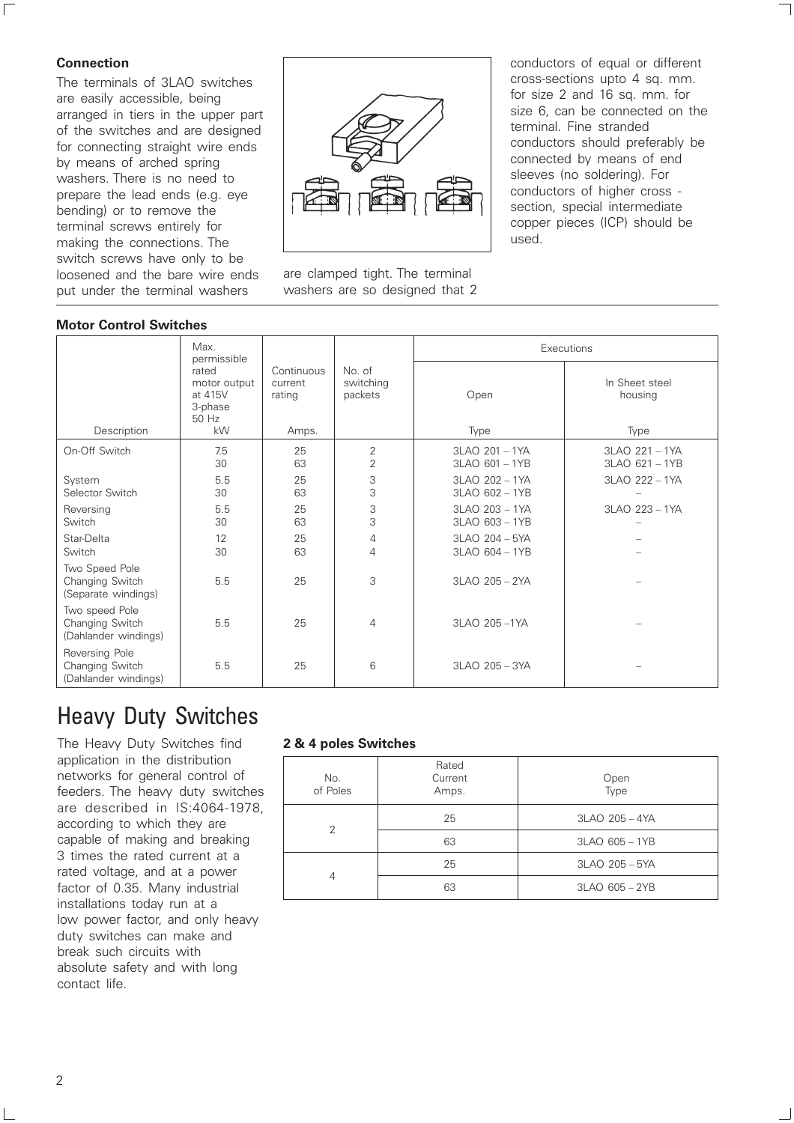### **Connection**

 $\overline{\Gamma}$ 

The terminals of 3LAO switches are easily accessible, being arranged in tiers in the upper part of the switches and are designed for connecting straight wire ends by means of arched spring washers. There is no need to prepare the lead ends (e.g. eye bending) or to remove the terminal screws entirely for making the connections. The switch screws have only to be loosened and the bare wire ends put under the terminal washers



are clamped tight. The terminal washers are so designed that 2 conductors of equal or different cross-sections upto 4 sq. mm. for size 2 and 16 sq. mm. for size 6, can be connected on the terminal. Fine stranded conductors should preferably be connected by means of end sleeves (no soldering). For conductors of higher cross section, special intermediate copper pieces (ICP) should be used.

| <b>Motor Control Switches</b>                             |                                                            |                                          |                                |                                      |                                   |  |
|-----------------------------------------------------------|------------------------------------------------------------|------------------------------------------|--------------------------------|--------------------------------------|-----------------------------------|--|
|                                                           | Max.<br>permissible                                        |                                          | No. of<br>switching<br>packets | Executions                           |                                   |  |
| Description                                               | rated<br>motor output<br>at 415V<br>3-phase<br>50 Hz<br>kW | Continuous<br>current<br>rating<br>Amps. |                                | Open<br>Type                         | In Sheet steel<br>housing<br>Type |  |
| On-Off Switch                                             | 7.5<br>30                                                  | 25<br>63                                 | 2<br>$\overline{2}$            | $3LAO$ 201 - 1YA<br>3LAO 601 - 1YB   | 3LAO 221 - 1YA<br>3LAO 621 - 1YB  |  |
| System<br>Selector Switch                                 | 5.5<br>30                                                  | 25<br>63                                 | 3<br>3                         | 3LAO 202 - 1YA<br>3LAO 602 - 1YB     | 3LAO 222 - 1YA                    |  |
| Reversing<br>Switch                                       | 5.5<br>30                                                  | 25<br>63                                 | 3<br>3                         | $3LAO$ 203 - 1YA<br>3LAO 603 - 1YB   | 3LAO 223 - 1YA                    |  |
| Star-Delta<br>Switch                                      | 12<br>30                                                   | 25<br>63                                 | $\overline{4}$<br>4            | $3LAO$ $204 - 5YA$<br>3LAO 604 - 1YB |                                   |  |
| Two Speed Pole<br>Changing Switch<br>(Separate windings)  | 5.5                                                        | 25                                       | 3                              | 3LAO 205 - 2YA                       |                                   |  |
| Two speed Pole<br>Changing Switch<br>(Dahlander windings) | 5.5                                                        | 25                                       | 4                              | 3LAO 205-1YA                         |                                   |  |
| Reversing Pole<br>Changing Switch<br>(Dahlander windings) | 5.5                                                        | 25                                       | 6                              | $3LAO$ $205 - 3YA$                   |                                   |  |

### Heavy Duty Switches

The Heavy Duty Switches find application in the distribution networks for general control of feeders. The heavy duty switches are described in IS:4064-1978, according to which they are capable of making and breaking 3 times the rated current at a rated voltage, and at a power factor of 0.35. Many industrial installations today run at a low power factor, and only heavy duty switches can make and break such circuits with absolute safety and with long contact life.

### **2 & 4 poles Switches**

| No.<br>of Poles | Rated<br>Current<br>Amps. | Open<br>Type   |  |
|-----------------|---------------------------|----------------|--|
| 2               | 25                        | 3LAO 205 - 4YA |  |
|                 | 63                        | 3LAO 605 - 1YB |  |
| 4               | 25                        | 3LAO 205 - 5YA |  |
|                 | 63                        | 3LAO 605 - 2YB |  |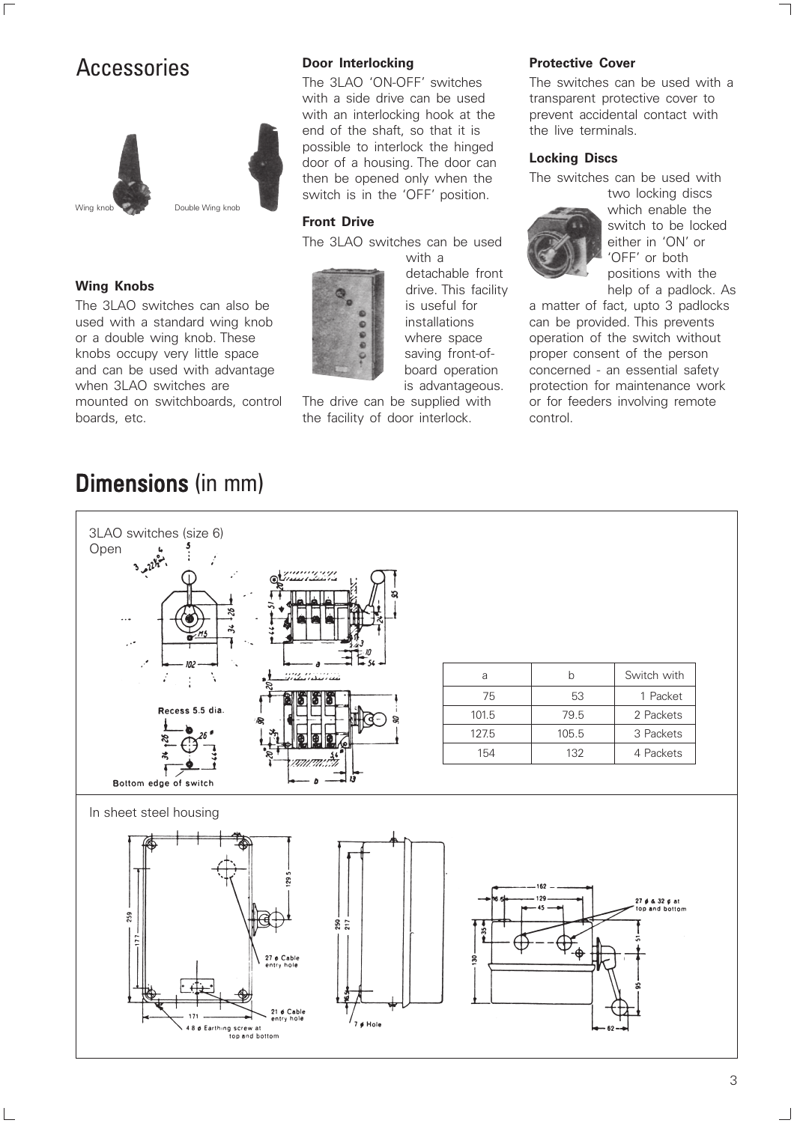### Accessories **Protective Cover** Protective Cover

 $\overline{\Gamma}$ 



### **Wing Knobs**

The 3LAO switches can also be used with a standard wing knob or a double wing knob. These knobs occupy very little space and can be used with advantage when 3LAO switches are mounted on switchboards, control boards, etc.

### **Door Interlocking**

The 3LAO 'ON-OFF' switches with a side drive can be used with an interlocking hook at the end of the shaft, so that it is possible to interlock the hinged door of a housing. The door can then be opened only when the switch is in the 'OFF' position.

#### **Front Drive**

The 3LAO switches can be used



with a detachable front drive. This facility is useful for installations where space saving front-ofboard operation is advantageous.

The drive can be supplied with the facility of door interlock.

The switches can be used with a transparent protective cover to prevent accidental contact with the live terminals.

#### **Locking Discs**

The switches can be used with



two locking discs which enable the switch to be locked either in 'ON' or 'OFF' or both positions with the

help of a padlock. As

a matter of fact, upto 3 padlocks can be provided. This prevents operation of the switch without proper consent of the person concerned - an essential safety protection for maintenance work or for feeders involving remote control.

### **Dimensions (in mm)**